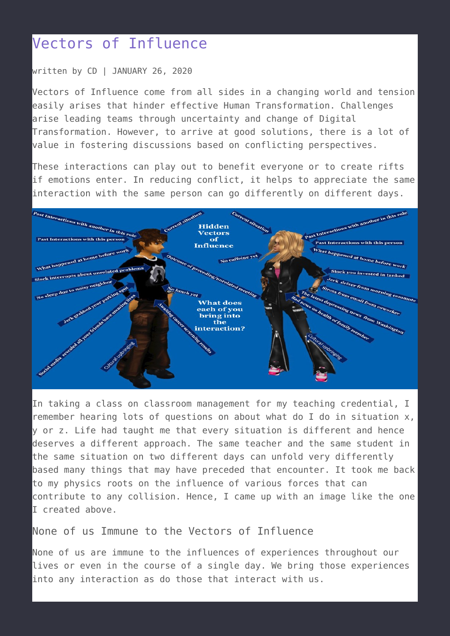# [Vectors of Influence](https://talentwhisperers.com/2020/01/26/vectors-of-influence/)

#### written by CD | JANUARY 26, 2020

Vectors of Influence come from all sides in a changing world and tension easily arises that hinder effective Human Transformation. Challenges arise leading teams through uncertainty and change of Digital Transformation. However, to arrive at good solutions, there is a lot of value in fostering discussions based on conflicting perspectives.

These interactions can play out to benefit everyone or to create rifts if emotions enter. In reducing conflict, it helps to appreciate the same interaction with the same person can go differently on different days.



In taking a class on classroom management for my teaching credential, I remember hearing lots of questions on about what do I do in situation x, y or z. Life had taught me that every situation is different and hence deserves a different approach. The same teacher and the same student in the same situation on two different days can unfold very differently based many things that may have preceded that encounter. It took me back to my physics roots on the influence of various forces that can contribute to any collision. Hence, I came up with an image like the one I created above.

### None of us Immune to the Vectors of Influence

None of us are immune to the influences of experiences throughout our lives or even in the course of a single day. We bring those experiences into any interaction as do those that interact with us.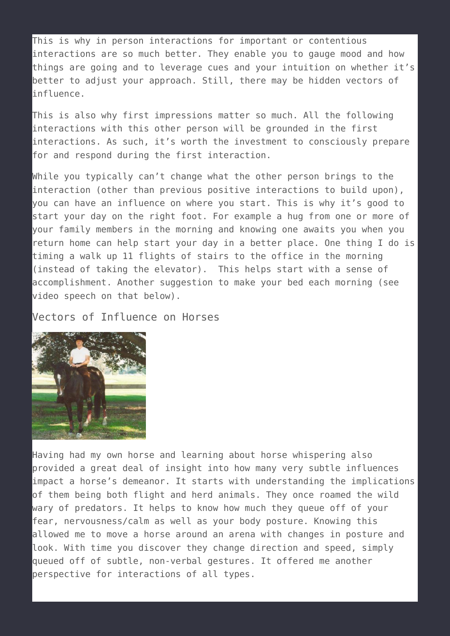This is why in person interactions for important or contentious interactions are so much better. They enable you to gauge mood and how things are going and to leverage cues and your intuition on whether it's better to adjust your approach. Still, there may be hidden vectors of influence.

This is also why first impressions matter so much. All the following interactions with this other person will be grounded in the first interactions. As such, it's worth the investment to consciously prepare for and respond during the first interaction.

While you typically can't change what the other person brings to the interaction (other than previous positive interactions to build upon), you can have an influence on where you start. This is why it's good to start your day on the right foot. For example a hug from one or more of your family members in the morning and knowing one awaits you when you return home can help start your day in a better place. One thing I do is timing a walk up 11 flights of stairs to the office in the morning (instead of taking the elevator). This helps start with a sense of accomplishment. Another suggestion to make your bed each morning (see video speech on that below).

#### Vectors of Influence on Horses



Having had my own horse and learning about horse whispering also provided a great deal of insight into how many very subtle influences impact a horse's demeanor. It starts with understanding the implications of them being both flight and herd animals. They once roamed the wild wary of predators. It helps to know how much they queue off of your fear, nervousness/calm as well as your body posture. Knowing this allowed me to move a horse around an arena with changes in posture and look. With time you discover they change direction and speed, simply queued off of subtle, non-verbal gestures. It offered me another perspective for interactions of all types.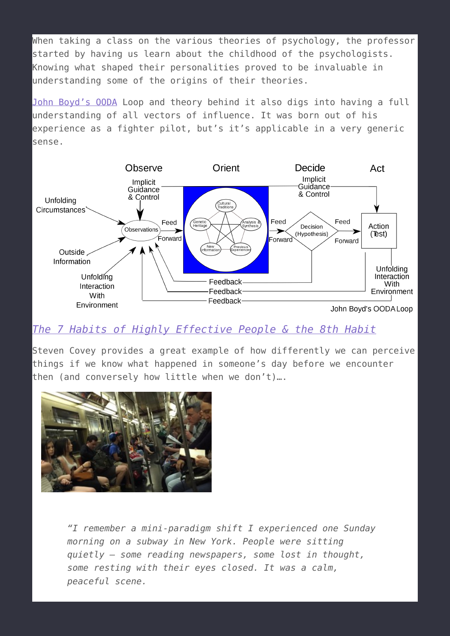When taking a class on the various theories of psychology, the professor started by having us learn about the childhood of the psychologists. Knowing what shaped their personalities proved to be invaluable in understanding some of the origins of their theories.

[John Boyd's OODA](https://en.wikipedia.org/wiki/OODA_loop) Loop and theory behind it also digs into having a full understanding of all vectors of influence. It was born out of his experience as a fighter pilot, but's it's applicable in a very generic sense.



## *[The 7 Habits of Highly Effective People & the 8th Habit](https://www.audible.com/pd/Business/The-7-Habits-of-Highly-Effective-People-The-8th-Habit-Special-3-Hour-Abridgement-Audiobook/B002V1NKLW?ref=a_search_c3_lProduct_1_1&pf_rd_p=e81b7c27-6880-467a-b5a7-13cef5d729fe&pf_rd_r=4DXM3EW81V2WJJYS1W8S&)*

Steven Covey provides a great example of how differently we can perceive things if we know what happened in someone's day before we encounter then (and conversely how little when we don't)….



*"I remember a mini-paradigm shift I experienced one Sunday morning on a subway in New York. People were sitting quietly – some reading newspapers, some lost in thought, some resting with their eyes closed. It was a calm, peaceful scene.*